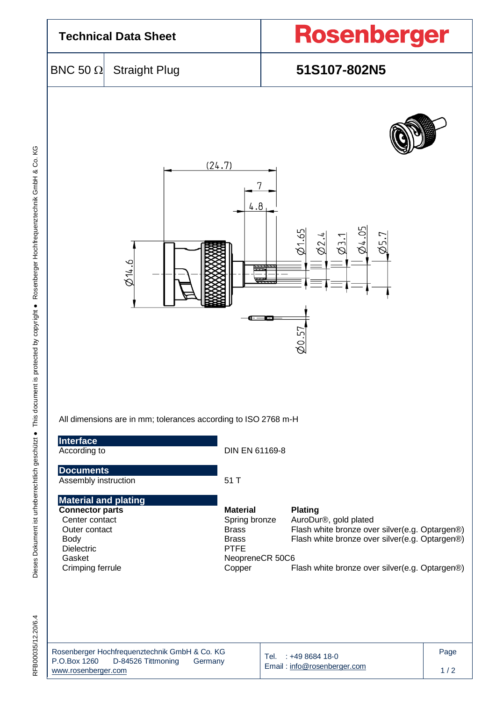